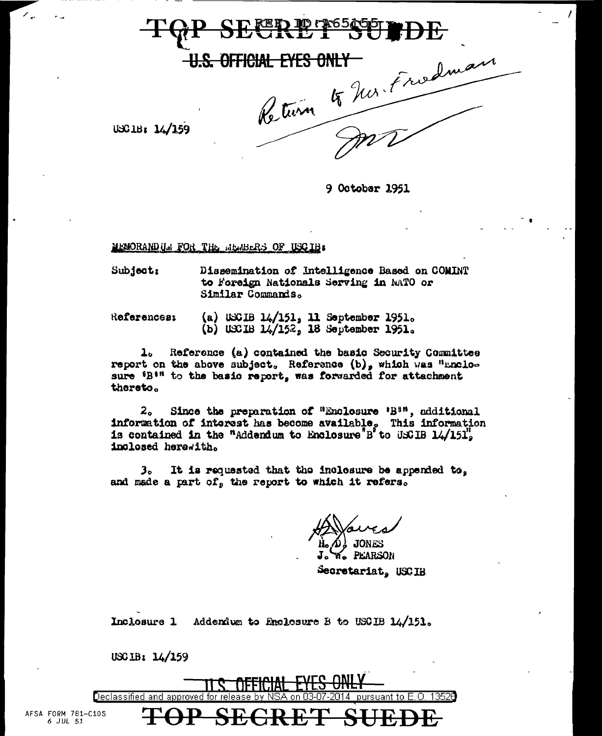## <u> фу</u>

OFFICIAL EYES ONLY

Return 4 hor. Fredman

USCIB: 14/159

9 Octobar 1951

MEMORANDUM FOR THE MEMBERS OF USCIB:

Subject: Dissemination of Intelligence Based on COMINT to Foreign Nationals Serving in NATO or Similar Commands.

Referencesi

(a) USCIB  $14/151$ , 11 September 1951. (b) USCIB  $14/152$ , 18 September 1951.

Reference (a) contained the basic Security Committee  $\mathbf{1}_{\alpha}$ report on the above subject, Reference (b), which was "unclosure 'B'" to the basic report, was forwarded for attachment thereto.

2. Since the preparation of "Enclosure 'B<sup>8"</sup>, additional information of interest has become available, This information is contained in the "Addendum to Enclosure"B' to USCIB  $14/151$ ". inclosed herewith.

It is requested that the inclosure be appended to,  $3<sub>o</sub>$ and made a part of, the report to which it refers.

**W. PEARSON** Secretariat, USCIB

Inclosure 1 Addendum to Enclosure B to USCIB 14/151.

 $USC1B: 14/159$ 



AFSA FORM 781-C10S 6 JUL 51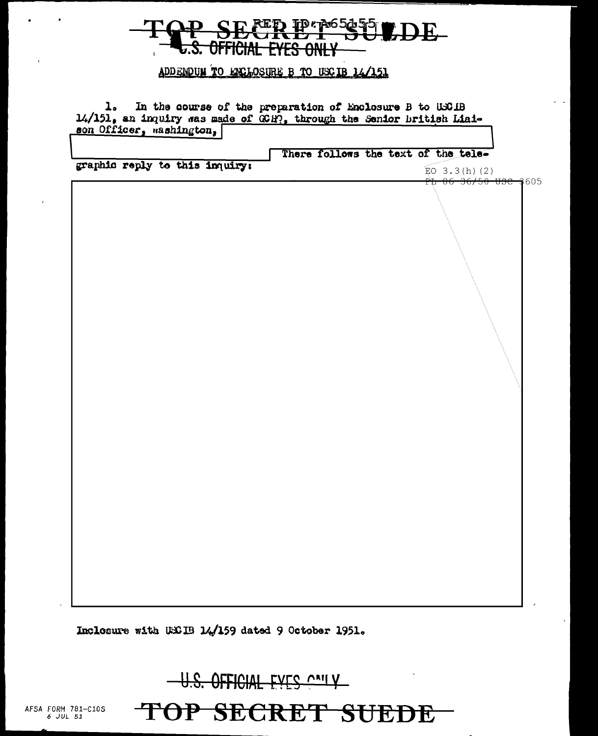## ED IP 7065455 LDE-<del>official</del> <u>n 2:</u>

## ADDENDUM TO ENCLOSURE B TO USCIB 14/151

1. In the course of the preparation of Enclosure B to USCIB 14/151, an inquiry was made of GCH, through the Senior british Liaison Officer, mashington,

There follows the text of the tele-

graphic reply to this inquiry:

 $E_0$  3.3(h)(2) 36/50 use 3605

Inclosure with USCIB 14/159 dated 9 October 1951.

U.S. OFFICIAL EVES CALLY

TOP SECRET SUEDE

AFSA FORM 781-C10S  $6$  JUL  $51$